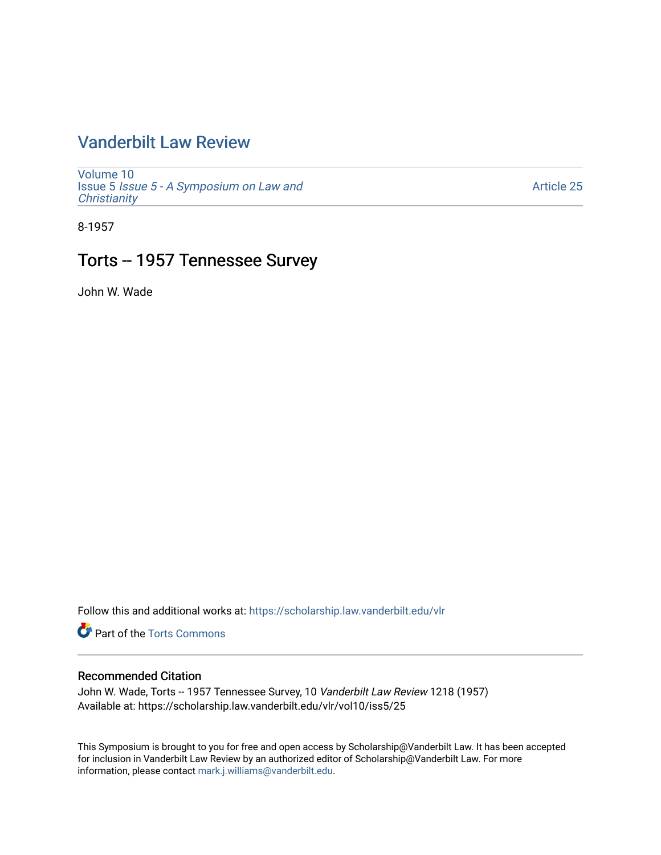# [Vanderbilt Law Review](https://scholarship.law.vanderbilt.edu/vlr)

[Volume 10](https://scholarship.law.vanderbilt.edu/vlr/vol10) Issue 5 [Issue 5 - A Symposium on Law and](https://scholarship.law.vanderbilt.edu/vlr/vol10/iss5) **Christianity** 

[Article 25](https://scholarship.law.vanderbilt.edu/vlr/vol10/iss5/25) 

8-1957

# Torts -- 1957 Tennessee Survey

John W. Wade

Follow this and additional works at: [https://scholarship.law.vanderbilt.edu/vlr](https://scholarship.law.vanderbilt.edu/vlr?utm_source=scholarship.law.vanderbilt.edu%2Fvlr%2Fvol10%2Fiss5%2F25&utm_medium=PDF&utm_campaign=PDFCoverPages)

**Part of the [Torts Commons](http://network.bepress.com/hgg/discipline/913?utm_source=scholarship.law.vanderbilt.edu%2Fvlr%2Fvol10%2Fiss5%2F25&utm_medium=PDF&utm_campaign=PDFCoverPages)** 

# Recommended Citation

John W. Wade, Torts -- 1957 Tennessee Survey, 10 Vanderbilt Law Review 1218 (1957) Available at: https://scholarship.law.vanderbilt.edu/vlr/vol10/iss5/25

This Symposium is brought to you for free and open access by Scholarship@Vanderbilt Law. It has been accepted for inclusion in Vanderbilt Law Review by an authorized editor of Scholarship@Vanderbilt Law. For more information, please contact [mark.j.williams@vanderbilt.edu](mailto:mark.j.williams@vanderbilt.edu).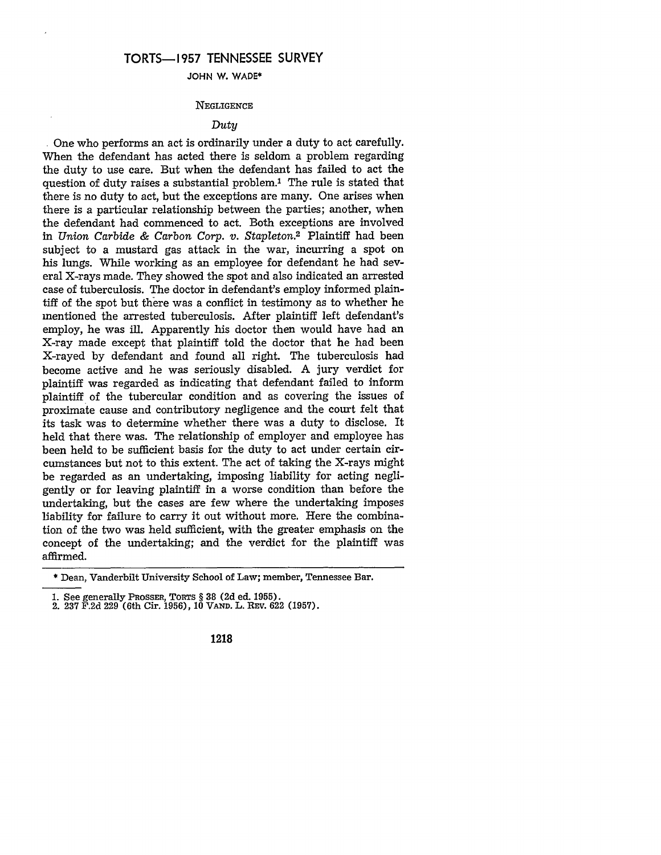# **TORTS-1957 TENNESSEE SURVEY**

**JOHN W. WADE\***

#### **NEGLIGENCE**

## Duty

One who performs an act is ordinarily under a duty to act carefully. When the defendant has acted there is seldom a problem regarding the duty to use care. But when the defendant has failed to act the question of duty raises a substantial problem.<sup>1</sup> The rule is stated that there is no duty to act, but the exceptions are many. One arises when there is a particular relationship between the parties; another, when the defendant had commenced to act. Both exceptions are involved in *Union Carbide & Carbon Corp.* v. *Stapleton.2* Plaintiff had been subject to a mustard gas attack in the war, incurring a spot on his lungs. While working as an employee for defendant he had several X-rays made. They showed the spot and also indicated an arrested case of tuberculosis. The doctor in defendant's employ informed plaintiff of the spot but there was a conflict in testimony as to whether he mentioned the arrested tuberculosis. After plaintiff left defendant's employ, he was ill. Apparently his doctor then would have had an X-ray made except that plaintiff told the doctor that he had been X-rayed by defendant and found all right. The tuberculosis had become active and he was seriously disabled. A jury verdict for plaintiff was regarded as indicating that defendant failed to inform plaintiff of the tubercular condition and as covering the issues of proximate cause and contributory negligence and the court felt that its task was to determine whether there was a duty to disclose. It held that there was. The relationship of employer and employee has been held to be sufficient basis for the duty to act under certain circumstances but not to this extent. The act of taking the X-rays might be regarded as an undertaking, imposing liability for acting negligently or for leaving plaintiff in a worse condition than before the undertaking, but the cases are few where the undertaking imposes liability for failure to carry it out without more. Here the combination of the two was held sufficient, with the greater emphasis on the concept of the undertaking; and the verdict for the plaintiff was affirmed.

**1218**

<sup>\*</sup> Dean, Vanderbilt University School of Law; member, Tennessee Bar.

<sup>1.</sup> See generally PROSSER, TORTS § 38 (2d ed. 1955). 2. 237 F.2d 229 (6th Cir. 1956), **10 VAND.** L. REV. 622 (1957).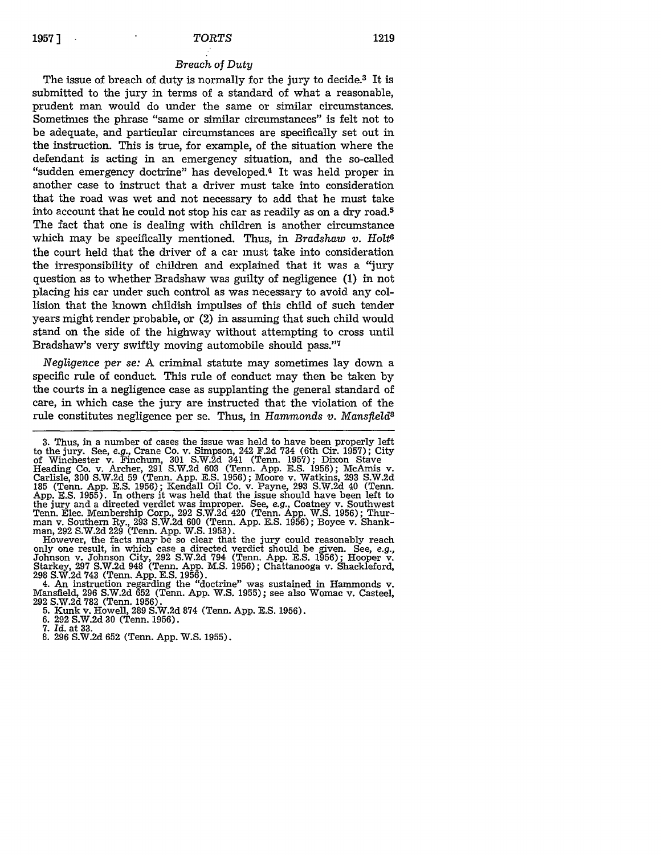#### *Breach of Duty*

The issue of breach of duty is normally for the jury to decide.<sup>3</sup> It is submitted to the jury in terms of a standard of what a reasonable, prudent man would do under the same or similar circumstances. Sometimes the phrase "same or similar circumstances" is felt not to be adequate, and particular circumstances are specifically set out in the instruction. This is true, for example, of the situation where the defendant is acting in an emergency situation, and the so-called "sudden emergency doctrine" has developed.<sup>4</sup> It was held proper in another case to instruct that a driver must take into consideration that the road was wet and not necessary to add that he must take into account that he could not stop his car as readily as on a dry road.5 The fact that one is dealing with children is another circumstance which may be specifically mentioned. Thus, in *Bradshaw v. Holt6* the court held that the driver of a car must take into consideration the irresponsibility of children and explained that it was a "jury question as to whether Bradshaw was guilty of negligence (1) in not placing his car under such control as was necessary to avoid any collision that the known childish impulses of this child of such tender years might render probable, or (2) in assuming that such child would stand on the side of the highway without attempting to cross until Bradshaw's very swiftly moving automobile should pass."7

*Negligence per se:* A criminal statute may sometimes lay down a specific rule of conduct. This rule of conduct may then be taken by the courts in a negligence case as supplanting the general standard of care, in which case the jury are instructed that the violation of the rule constitutes negligence per se. Thus, in *Hammonds v. Mansfield8*

only one result, in which case a directed verdict should be given. See, e.g., Johnson v. Johnson City, 292 S.W.2d 794 (Tenn. App. E.S. 1956); Hooper v. Starkey, 297 S.W.2d 948 (Tenn. App. M.S. 1956); Chattanooga v. Shackle

4. An instruction regarding the "doctrine" was sustained in Hammonds v. Mansfield, 296 S.W.2d 652 (Tenn. App. W.S. 1955); see also Womac v. Casteel, 292 S.W.2d 782 (Tenn. 1956). 5. Kunk v. Howell, 289 S.W.2d **874** (Tenn. App. E.S. 1956). 6. 292 S.W.2d 30 (Tenn. 1956).

- *7. Id.* at **33.**
- 8. 296 S.W.2d 652 (Tenn. App. W.S. 1955).

<sup>3.</sup> Thus, in a number of cases the issue was held to have been properly left to the jury. See, *e.g.,* Crane Co. v. Simpson, 242 F.2d 734 (6th Cir. 1957); City of Winchester v. Finchum, 301 S.W.2d 341 (Tenn. 1957); Dixon Stave Heading Co. v. Archer, 291 S.W.2d 603 (Tenn. App. E.S. 1956); McAmis v. Carlisle, 300 S.W.2d 59 (Tenn. App. E.S. 1956); Moore v. Watkins, 293 S.W.2d 185 (Tenn. App. E.S. 1956); Kendall Oil Co. v. Payne, 293 S.W.2d 40 (Tenn. App. E.S. 1955). In others it was held that the issue should have been left to the jury and a directed verdict was improper. See, *e.g.,* Coatney v. Southwest Tenn. Elec. Membership Corp., 292 S.W.2d 420 (Tenn. App. W.S. 1956); Thur-man v. Southern Ry., 293 S.W.2d 600 (Tenn. App. E.S. 1956); Boyce v. Shankman, 292 S.W.2d 229 (Tenn. App. W.S. 1953).<br>However, the facts may-be so clear that the jury could reasonably reach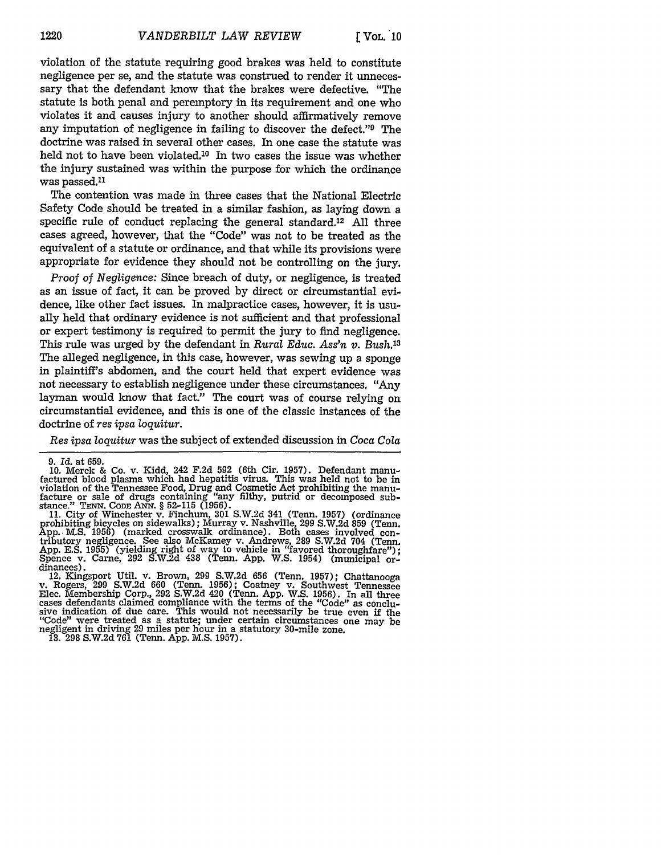violation of the statute requiring good brakes was held to constitute negligence per se, and the statute was construed to render it unnecessary that the defendant know that the brakes were defective. "The statute is both penal and peremptory in its requirement and one who violates it and causes injury to another should affirmatively remove any imputation of negligence in failing to discover the defect."9 The doctrine was raised in several other cases. In one case the statute was held not to have been violated.'0 In two cases the issue was whether the injury sustained was within the purpose for which the ordinance was passed.<sup>11</sup>

The contention was made in three cases that the National Electric Safety Code should be treated in a similar fashion, as laying down a specific rule of conduct replacing the general standard.<sup>12</sup> All three cases agreed, however, that the "Code" was not to be treated as the equivalent of a statute or ordinance, and that while its provisions were appropriate for evidence they should not be controlling on the jury.

*Proof of Negligence:* Since breach of duty, or negligence, is treated as an issue of fact, it can be proved by direct or circumstantial evidence, like other fact issues. In malpractice cases, however, it is usually held that ordinary evidence is not sufficient and that professional or expert testimony is required to permit the jury to find negligence. This rule was urged by the defendant in *Rural Educ. Ass'n v. Bush.13* The alleged negligence, in this case, however, was sewing up a sponge in plaintiff's abdomen, and the court held that expert evidence was not necessary to establish negligence under these circumstances. "Any layman would know that fact." The court was of course relying on circumstantial evidence, and this is one of the classic instances of the doctrine of *res ipsa loquitur.*

*Res ipsa loquitur* was the subject of extended discussion in *Coca Cola*

**<sup>9.</sup>** *Id.* at 659.

**<sup>10.</sup>** Merck & Co. v. Kidd, 242 F.2d 592 (6th Cir. 1957). Defendant manufactured blood plasma which had hepatitis virus. This was held not to be in violation of the Tennessee Food, Drug and Cosmetic Act prohibiting the manufacture or sale of drugs containing "any filthy, putrid or decomposed sub-stance." **TENN. CODE ANN.** § 52-115 (1956). 11. City of Winchester v. Finchum, **301** S.W.2d 341 (Tenn. 1957) (ordinance

prohibiting bicycles on sidewalks); Murray v. Nashville, 299 S.W.2d 859 (Tenn. App.. M.S. 1956) (marked crosswalk ordinance). Both cases involved con- tributory negligence. See also McKamey v. Andrews, 289 S.W.2d 704 (Tenn. App. E.S. 1955) (yielding right of way to vehicle in "favored thoroughfare"); Spence v. Came, 292 S.W.2d 438 (Tenn. App. W.S. 1954) (municipal or- dinances).

<sup>12.</sup> Kingsport Util. v. Brown, 299 S.W.2d 656 (Tenn. 1957); Chattanooga v. Rogers, 299 S.W.2d 660 (Tenn. 1956); Coatney v. Southwest Tennessee Elec. Membership Corp., **292 S.W.2d** 420 (Tenn. **App.** W.S. 1956). In all three cases defendants claimed compliance with the terms of the "Code" as conclusive indication of due care. This would not necessarily be true even **if** the "Code" were treated as a statute; under certain circumstances one may be negligent in driving 29 miles per hour in a statutory 30-mile zone. **13.** 298 S.W.2d 761 (Tenn. App. M.S. 1957).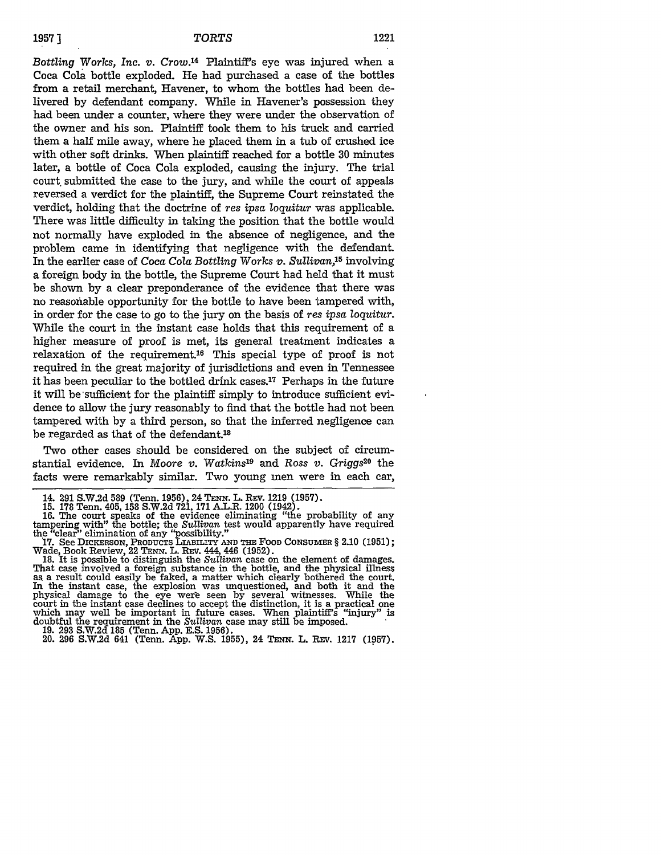*Bottling* Works, *Inc. v.* Crow.14 Plaintiff's eye was injured when a Coca Cola bottle exploded. He had purchased a case of the bottles from a retail merchant, Havener, to whom the bottles had been delivered by defendant company. While in Havener's possession they had been under a counter, where they were under the observation of the owner and his son. Plaintiff took them to his truck and carried them a half mile away, where he placed them in a tub of crushed ice with other soft drinks. When plaintiff reached for a bottle 30 minutes later, a bottle of Coca Cola exploded, causing the injury. The trial court submitted the case to the jury, and while the court of appeals reversed a verdict for the plaintiff, the Supreme Court reinstated the verdict, holding that the doctrine of *res* ipsa *loquitur* was applicable. There was little difficulty in taking the position that the bottle would not normally have exploded in the absence of negligence, and the problem came in identifying that negligence with the defendant. In the earlier case of *Coca Cola Bottling* Works *v. Sullivan,15* involving a foreign body in the bottle, the Supreme Court had held that it must be shown by a clear preponderance of the evidence that there was no reasonable opportunity for the bottle to have been tampered with, in order for the case to go to the jury on the basis of *res ipsa loquitur.* While the court in the instant case holds that this requirement of a higher measure of proof is met, its general treatment indicates a relaxation of the requirement.<sup>16</sup> This special type of proof is not required in the great majority of jurisdictions and even in Tennessee it has been peculiar to the bottled drink cases.<sup>17</sup> Perhaps in the future it will be sufficient for the plaintiff simply to introduce sufficient evidence to allow the jury reasonably to find that the bottle had not been tampered with by a third person, so that the inferred negligence can be regarded as that of the defendant.<sup>18</sup>

Two other cases should be considered on the subject of circumstantial evidence. In *Moore v. Watkins*<sup>19</sup> and *Ross v. Griggs*<sup>20</sup> the facts were remarkably similar. Two young men were in each car,

14. 291 S.W.2d 589 (Tenn. 1956), 24 *TENN.* L. REv. 1219 (1957). 15. 178 Tenn. 405, 158 S.W.2d 721, 171 A.L.R. 1200 (1942). 16. The court speaks of the evidence eliminating "the probability of any tampering with" the bottle; the *Sullivan* test would apparently have required

the "clear" elimination of any "possibility."<br>
17. See DICKERSON, PRODUCTS LIABILITY AND THE FOOD CONSUMER § 2.10 (1951);<br>
Wade, Book Review, 22 TENN. L. REV. 444, 446 (1952).<br>
18. It is possible to distinguish the Sulliva as a result could easily be faked, a matter which clearly bothered the court.<br>In the instant case, the explosion was unquestioned, and both it and the physical damage to the eye were seen **by** several witnesses. While the court in the instant case declines to accept the distinction, it is a practical one which may well be important in future cases. When plaintiff's "injury" **is** doubtful the requirement in the *Sullivan* case may still be imposed. **19. 293 S.W.2d 185** (Tenn. **App. E.S. 1956).**

20. **296 S.W.2d** 641 (Tenn. **App.** W.S. **1955),** 24 **TENN.** L. REv. **1217 (1957).**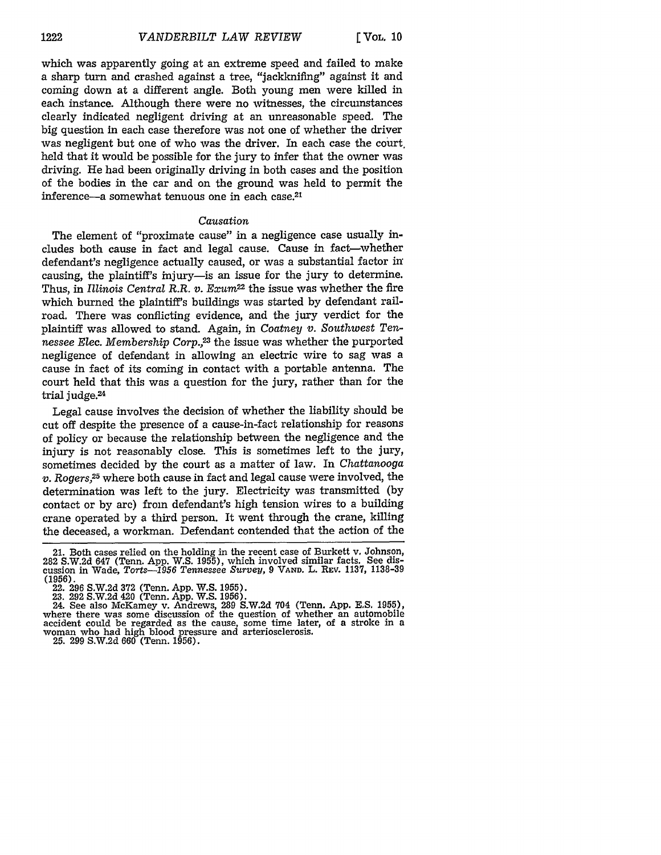which was apparently going at an extreme speed and failed to make a sharp turn and crashed against a tree, "jackknifing" against it and coming down at a different angle. Both young men were killed in each instance. Although there were no witnesses, the circumstances clearly indicated negligent driving at an unreasonable speed. The big question in each case therefore was not one of whether the driver was negligent but one of who was the driver. In each case the court, held that it would be possible for the jury to infer that the owner was driving. He had been originally driving in both cases and the position of the bodies in the car and on the ground was held to permit the inference-a somewhat tenuous one in each case.<sup>21</sup>

#### *Causation*

The element of "proximate cause" in a negligence case usually includes both cause in fact and legal cause. Cause in fact-whether defendant's negligence actually caused, or was a substantial factor in causing, the plaintiff's injury- is an issue for the jury to determine. Thus, in *Illinois Central R.R. v. Exum*<sup>22</sup> the issue was whether the fire which burned the plaintiff's buildings was started by defendant railroad. There was conflicting evidence, and the jury verdict for the plaintiff was allowed to stand. Again, in *Coatney v. Southwest Tennessee Elec. Membership Corp.,2* the issue was whether the purported negligence of defendant in allowing an electric wire to sag was a cause in fact of its coming in contact with a portable antenna. The court held that this was a question for the jury, rather than for the trial judge.<sup>24</sup>

Legal cause involves the decision of whether the liability should be cut off despite the presence of a cause-in-fact relationship for reasons of policy or because the relationship between the negligence and the injury is not reasonably close. This is sometimes left to the jury, sometimes decided by the court as a matter of law. In *Chattanooga v. Rogers,25* where both cause in fact and legal cause were involved, the determination was left to the jury. Electricity was transmitted (by contact or by arc) from defendant's high tension wires to a building crane operated by a third person. It went through the crane, killing the deceased, a workman. Defendant contended that the action of the

<sup>21.</sup> Both cases relied on the holding in the recent case of Burkett v. Johnson, 282 S.W.2d 647 (Tenn. App. W.S. 1955), which involved similar facts. See dis-cussion in Wade, *Torts-1956 Tennessee Survey,* 9 **VAND.** L. REV. 1137, 1138-39

<sup>(1956).&</sup>lt;br>- 22. 296 S.W.2d 372 (Tenn. App. W.S. 1955).<br>- 23. 292 S.W.2d 420 (Tenn. App. W.S. 1956).<br>- 24. See also McKamey v. Andrews, 289 S.W.2d 704 (Tenn. App. E.S. 1955) where there was some discussion of the question of whether an automobile accident could be regarded as the cause, some time later, of a stroke in a woman who had high blood pressure and arteriosclerosis.

<sup>25. 299</sup> S.W.2d 660 (Tenn. 1956).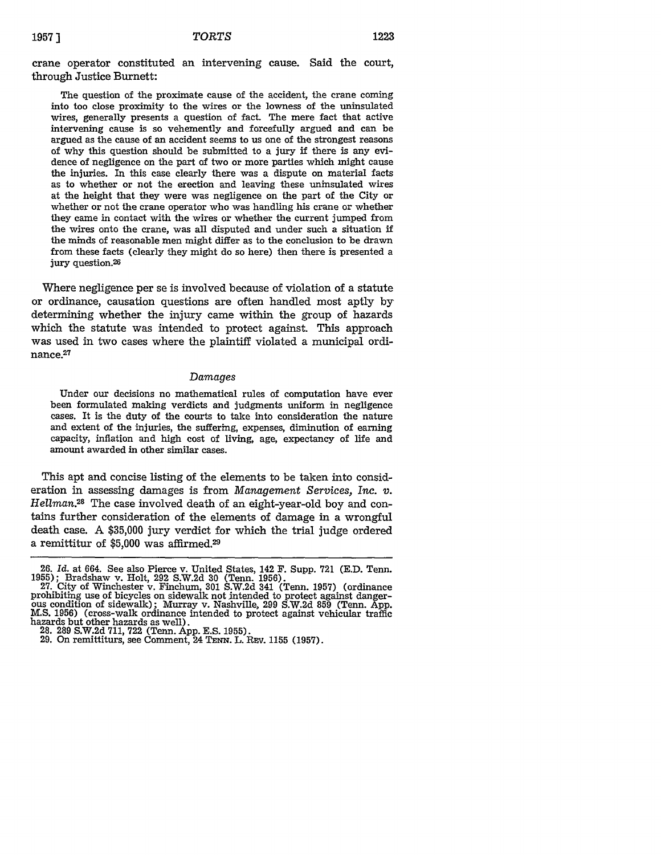crane operator constituted an intervening cause. Said the court, through Justice Burnett:

The question of the proximate cause of the accident, the crane coming into too close proximity to the wires or the lowness of the uninsulated wires, generally presents a question of fact. The mere fact that active intervening cause is so vehemently and forcefully argued and can be argued as the cause of an accident seems to us one of the strongest reasons of why this question should be submitted to a jury if there is any evidence of negligence on the part of two or more parties which might cause the injuries. In this case clearly there was a dispute on material facts as to whether or not the erection and leaving these uninsulated wires at the height that they were was negligence on the part of the City or whether or not the crane operator who was handling his crane or whether they came in contact with the wires or whether the current jumped from the wires onto the crane, was all disputed and under such a situation if the minds of reasonable men might differ as to the conclusion to be **drawn** from these facts (clearly they might do so here) then there is presented a jury question.<sup>2</sup> 6

Where negligence per se is involved because of violation of a statute or ordinance, causation questions are often handled most aptly **by** determining whether the injury came within the group of hazards which the statute was intended to protect against. This approach was used in two cases where the plaintiff violated a municipal ordinance. 27

#### *Damages*

Under our decisions no mathematical rules of computation have ever been formulated making verdicts and judgments uniform in negligence cases. It is the duty of the courts to take into consideration the nature and extent of the injuries, the suffering, expenses, diminution of earning capacity, inflation and high cost of living, age, expectancy of life and amount awarded in other similar cases.

This apt and concise listing of the elements to be taken into consideration in assessing damages is from *Management Services, Inc. v. Hellman.28* The case involved death of an eight-year-old boy and contains further consideration of the elements of damage in a wrongful death case. A \$35,000 jury verdict for which the trial judge ordered a remittitur of \$5,000 was affirmed.29

hazards but other hazards as well). **28. 289** S.W.2d 711, 722 (Tenn. App. E.S. 1955). 29. On remittiturs, see Comment, 24 **TENN.** L. Rsv. **1155** (1957).

<sup>26.</sup> *Id.* at 664. See also Pierce v. United States, 142 F. Supp. **721** (E.D. Tenn. 1955); Bradshaw v. Holt, 292 S.W.2d 30 (Tenn. 1956).<br>27. City of Winchester v. Finchum, 301 S.W.2d 341 (Tenn. 1957) (ordinance

prohibiting use of bicycles on sidewalk not intended to protect against danger-<br>ous condition of sidewalk); Murray v. Nashville, 299 S.W.2d 859 (Tenn. App.<br>M.S. 1956) (cross-walk ordinance intended to protect against vehic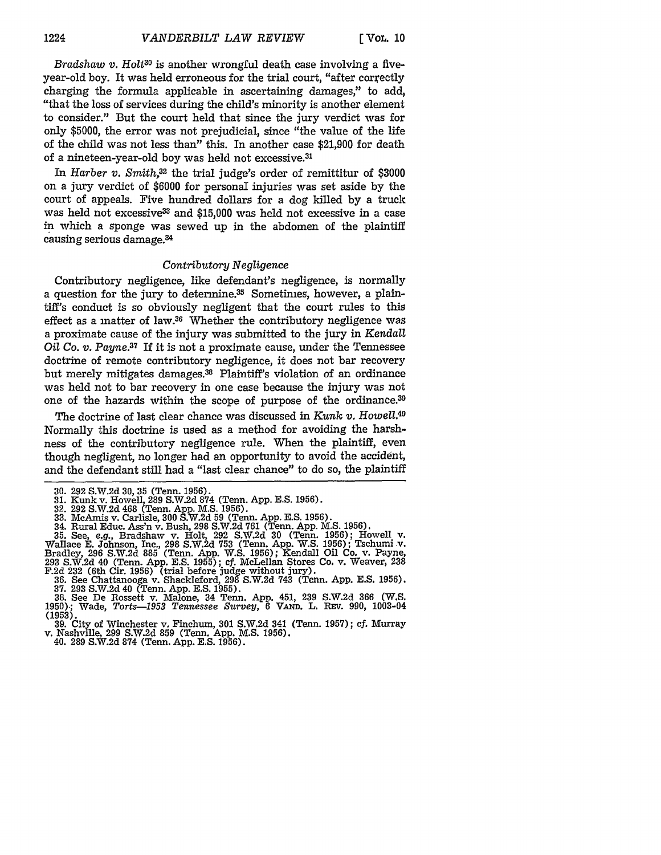*Bradshaw v. Holt*<sup>30</sup> is another wrongful death case involving a fiveyear-old boy. It was held erroneous for the trial court, "after correctly charging the formula applicable in ascertaining damages," to add, "that the loss of services during the child's minority is another element to consider." But the court held that since the jury verdict was for only \$5000, the error was not prejudicial, since "the value of the life of the child was not less than" this. In another case \$21,900 for death of a nineteen-year-old boy was held not excessive.<sup>31</sup>

In *Harber v. Smith,32* the trial judge's order of remittitur of \$3000 on a jury verdict of \$6000 for personal injuries was set aside by the court of appeals. Five hundred dollars for a dog killed by a truck was held not excessive<sup>33</sup> and \$15,000 was held not excessive in a case in which a sponge was sewed up in the abdomen of the plaintiff causing serious damage. <sup>34</sup>

# *Contributory Negligence*

Contributory negligence, like defendant's negligence, is normally a question for the jury to determine.<sup>35</sup> Sometimes, however, a plaintiff's conduct is so obviously negligent that the court rules to this effect as a matter of law.36 Whether the contributory negligence was a proximate cause of the injury was submitted to the jury in *Kendall Oil Co. v. Payne.37* If it is not a proximate cause, under the Tennessee doctrine of remote contributory negligence, it does not bar recovery but merely mitigates damages.<sup>38</sup> Plaintiff's violation of an ordinance was held not to bar recovery in one case because the injury was not one of the hazards within the scope of purpose of the ordinance.<sup>39</sup>

The doctrine of last clear chance was discussed in *Kunk v. Howell. <sup>40</sup>* Normally this doctrine is used as a method for avoiding the harshness of the contributory negligence rule. When the plaintiff, even though negligent, no longer had an opportunity to avoid the accident, and the defendant still had a "last clear chance" to do so, the plaintiff

**<sup>30.</sup>** 292 S.W.2d **30, 35** (Tenn. 1956).

<sup>31.</sup> Kunk v. Howell, 289 S.W.2d **874** (Tenn. App. E.S. 1956). 32. 292 S.W.2d 468 (Tenn. App. M.S. 1956).

<sup>33.</sup> McAmis v. Carlisle, 300 S.W.2d 59 **(Tenn. App. E.S. 1956).**<br>34. Rural Educ. Ass'n v. Bush, 298 S.W.2d 761 (Tenn. App. M.S. 1956).<br>35. See, *e.g.*, Bradshaw v. Holt, 292 S.W.2d 30 (Tenn. 1956); Howell v. Wallace E. Johnson, Inc., 298 S.W.2d 753 (Tenn. App. W.S. 1956); Tschumi v.<br>Bradley, 296 S.W.2d 885 (Tenn. App. W.S. 1956); Kendall Oil Co. v. Payne,<br>293 S.W.2d 40 (Tenn. App. E.S. 1955); cf. McLellan Stores Co. v. Weaver,

F.2d 232 (6th Cir. 1956) (trial before judge without jury). 36. See Chattanooga v. Shackleford, 298 S.W.2d 743 (Tenn. App. E.S. 1956).

<sup>37. 293</sup> S.W.2d 40 (Tenn. App. E.S. 1955). 38. See De Rossett v. Malone, 34 Tenn. App. 451, 239 S.W.2d 366 (W.S. **1950).;** Wade, *Torts-1953 Tennessee Survey,* 6 VATD. L. Rsv. 990, 1003-04

<sup>(1953).</sup> 39. City of Winchester v. Finchum, 301 S.W.2d 341 (Tenn. 1957); **cf.** Murray v. Nashville, **299** S.W.2d **859** (Tenn. App. M.S. 1956). 40. **289** S.W.2d 874 (Tenn. App. E.S. 1956).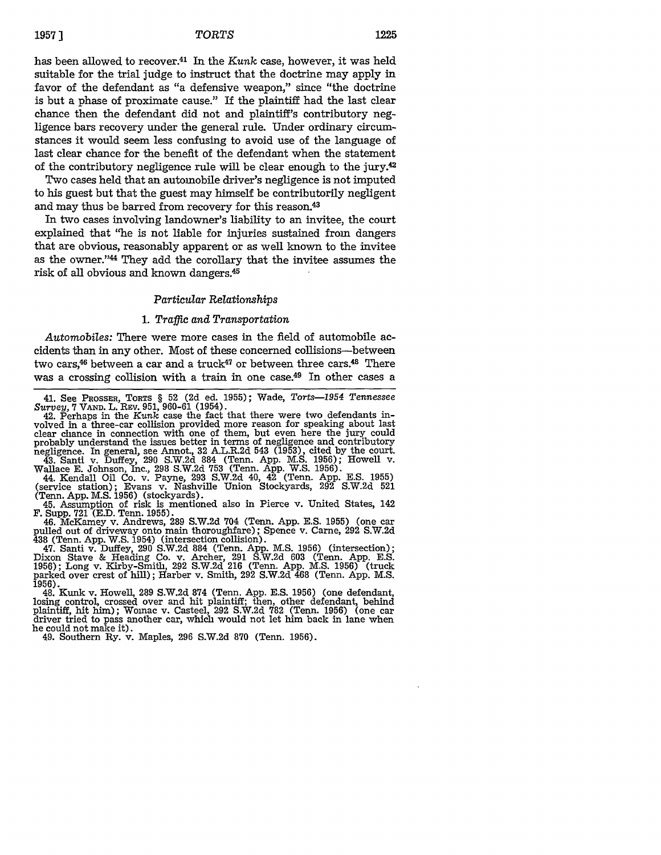# **19571** *TORTS* **1225**

has been allowed to recover.41 In the *Kunk* case, however, it was held suitable for the trial judge to instruct that the doctrine may apply in favor of the defendant as "a defensive weapon," since "the doctrine is but a phase of proximate cause." If the plaintiff had the last clear chance then the defendant did not and plaintiff's contributory negligence bars recovery under the general rule. Under ordinary circumstances it would seem less confusing to avoid use of the language of last clear chance for the benefit of the defendant when the statement of the contributory negligence rule will be clear enough to the jury. $42$ 

Two cases held that an automobile driver's negligence is not imputed to his guest but that the guest may himself be contributorily negligent and may thus be barred from recovery for this reason.<sup>43</sup>

In two cases involving landowner's liability to an invitee, the court explained that "he is not liable for injuries sustained from dangers that are obvious, reasonably apparent or as well known to the invitee as the owner."44 They add the corollary that the invitee assumes the risk of all obvious and known dangers.45

## *Particular Relationships*

#### 1. *Traffic and Transportation*

*Automobiles:* There were more cases in the field of automobile accidents than in any other. Most of these concerned collisions-between two cars,<sup>46</sup> between a car and a truck<sup>47</sup> or between three cars.<sup>48</sup> There was a crossing collision with a train in one case.<sup>49</sup> In other cases a

volved in a three-car collision provided more reason for speaking about last clear chance in connection with one of them, but even here the jury could probably understand the issues better in terms of negligence and contributory negligence. In general, see Annot., 32 A.L.R.2d 543 (1953), cited by the court.

43. Santi v. Duffey, 290 S.W.2d 884 (Tenn. App. M.S. 1956); Howell v. Wallace E. Johnson, Inc., 298 S.W.2d 753 (Tenn. App. W.S. 1956).

44. Kendall Oil Co. v. Payne, 293 S.W.2d 40, 42 (Tenn. App. E.S. 1955) (service station); Evans v. Nashville Union Stockyards, 292 S.W.2d 521 (Tenn. App. M.S. 1956) (stockyards).

45. Assumption of risk is mentioned also in Pierce v. United States, 142 F. Supp. 721 (E.D. Tenn. 1955).

46. McKamey v. Andrews, 289 S.W.2d 704 (Tenn. App. E.S. 1955) (one car pulled out of driveway onto main thoroughfare); Spence v. Came, 292 S.W.2d 438 (Tenn. App. W.S. 1954) (intersection collision).

47. Santi v. Duffey, 290 S.W.2d 884 (Tenn. App. M.S. 1956) (intersection); Dixon Stave & Heading Co. v. Archer, 291 S.W.2d 603 (Tenn. App. E.S. 1956); Long v. Kirby-Smith, **292** S.W.2d 216 (Tenn. App. M.S. 1956) (truck parked over crest of hill); Harber v. Smith, 292 S.W.2d 468 (Tenn. App. M.S. 1956).

1956). 48. Kunk v. Howell, 289 S.W.2d 874 (Tenn. App. E.S. 1956) (one defendant, losing control, crossed over and hit plaintiff; then, other defendant, behind plaintiff, hit him); Womac v. Casteel, 292 S.W.2d 782 (Tenn. 1956) (one car driver tried to pass another car, which would not let him back in lane when he could not make it). 49. Southern Ry. v. Maples, 296 S.W.2d 870 (Tenn. 1956).

<sup>41.</sup> See PRossER, TORTS § 52 (2d ed. 1955); Wade, *Torts-1954 Tennessee Survey,* 7 **VAND.** L. REv. 951, 960-61 (1954). 42. Perhaps in the *Kunk* case the fact that there were two defendants in-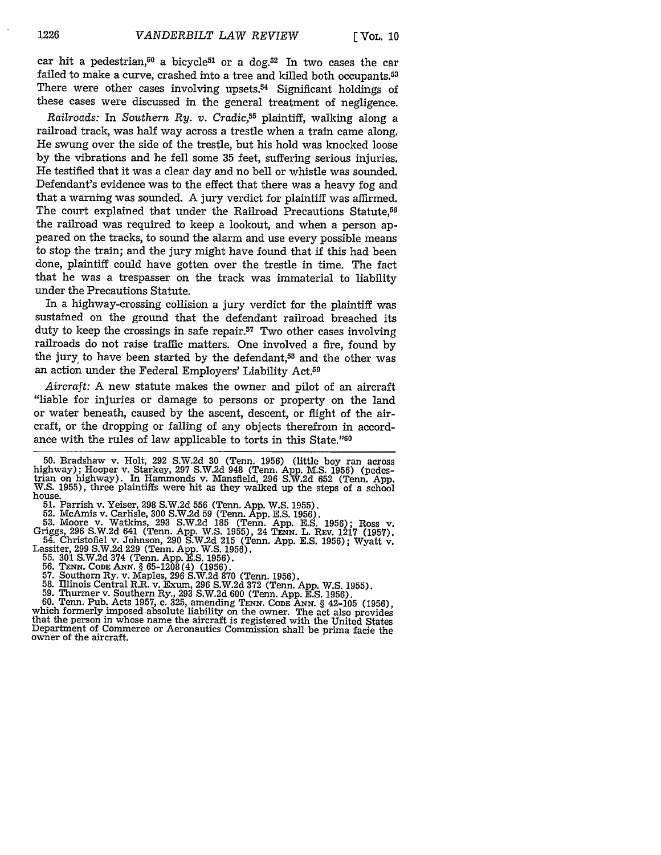car hit a pedestrian,<sup>50</sup> a bicycle<sup>51</sup> or a dog.<sup>52</sup> In two cases the car failed to make a curve, crashed into a tree and killed both occupants.<sup>53</sup> There were other cases involving upsets.<sup>54</sup> Significant holdings of these cases were discussed in the general treatment of negligence.

*Railroads:* In *Southern Ry. v. Cradic,55* plaintiff, walking along a railroad track, was half way across a trestle when a train came along. He swung over the side of the trestle, but his hold was knocked loose by the vibrations and he fell some 35 feet, suffering serious injuries. He testified that it was a clear day and no bell or whistle was sounded. Defendant's evidence was to the effect that there was a heavy fog and that a warning was sounded. A jury verdict for plaintiff was affirmed. The court explained that under the Railroad Precautions Statute.<sup>56</sup> the railroad was required to keep a lookout, and when a person appeared on the tracks, to sound the alarm and use every possible means to stop the train; and the jury might have found that if this had been done, plaintiff could have gotten over the trestle in time. The fact that he was a trespasser on the track was immaterial to liability under the Precautions Statute.

In a highway-crossing collision a jury verdict for the plaintiff was sustained on the ground that the defendant railroad breached its duty to keep the crossings in safe repair.<sup>57</sup> Two other cases involving railroads do not raise traffic matters. One involved a fire, found by the jury to have been started by the defendant, $58$  and the other was an action under the Federal Employers' Liability Act.59

*Aircraft:* A new statute makes the owner and pilot of an aircraft "liable for injuries or damage to persons or property on the land or water beneath, caused by the ascent, descent, or flight of the aircraft, or the dropping or falling of any objects therefrom in accordance with the rules of law applicable to torts in this State."60

50. Bradshaw v. Holt, 292 S.W.2d 30 (Tenn. 1956) (little boy ran across highway); Hooper v. Starkey, 297 S.W.2d 948 (Tenn. App. M.S. 1956) (pedestrian on highway). In Hammonds v. Mansfield, 296 S.W.2d 652 (Tenn. App. W.S.

house.<br>
51. Parrish v. Yeiser, 298 S.W.2d 556 (Tenn. App. W.S. 1955).<br>
52. McAmis v. Carlisle, 300 S.W.2d 59 (Tenn. App. E.S. 1956).<br>
53. Moore v. Watkins, 293 S.W.2d 59 (Tenn. App. E.S. 1956); Ross v.<br>
Griggs, 296 S.W.2d

- Lassiter, 299 S.W.2d 229 (Tenn. App. W.S. 1956). 55. 301 S.W.2d 374 (Tenn. App. E.S. 1956).
	-
	-
	-
	-
	-

56. TENN. CODE ANN. § 65-1208 (4) (1956).<br>57. Southern Ry. v. Maples, 296 S.W.2d 870 (Tenn. 1956).<br>58. Illinois Central R.R. v. Exum. 296 S.W.2d 372 (Tenn. App. W.S. 1955).<br>59. Thurmer v. Southern Ry., 293 S.W.2d 600 (Ten Department of Commerce or Aeronautics Commission shall be prima facie the owner of the aircraft.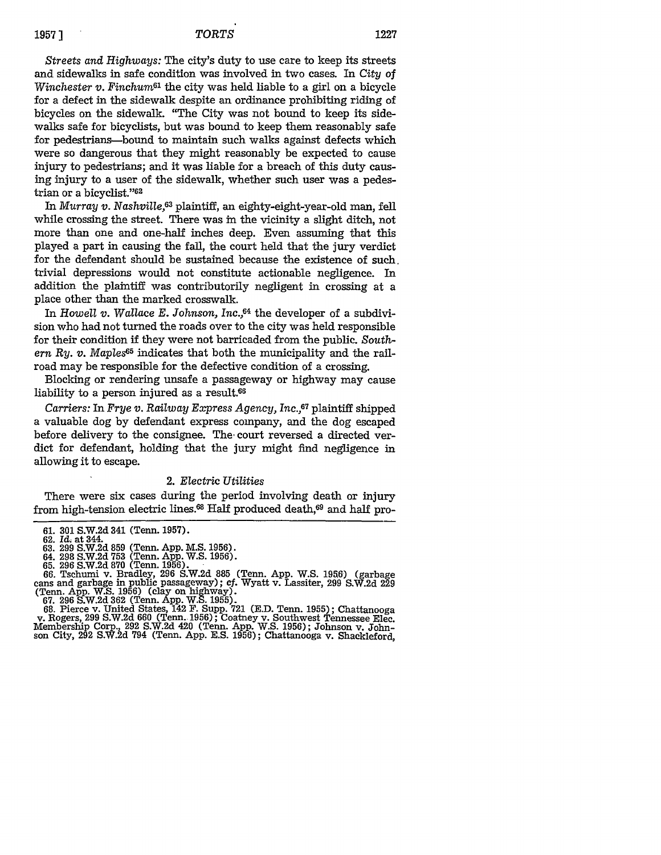# **19571** *TORTS* **1227**

*Streets and Highways:* The city's duty to use care to keep its streets and sidewalks in safe condition was involved in two cases. In *City* of *Winchester v. Finchum<sup>61</sup>* the city was held liable to a girl on a bicycle for a defect in the sidewalk despite an ordinance prohibiting riding of bicycles on the sidewalk. "The City was not bound to keep its sidewalks safe for bicyclists, but was bound to keep them reasonably safe for pedestrians-bound to maintain such walks against defects which were so dangerous that they might reasonably be expected to cause injury to pedestrians; and it was liable for a breach of this duty causing injury to a user of the sidewalk, whether such user was a pedestrian or a bicyclist."<sup>62</sup>

In *Murray v. Nashville,63* plaintiff, an eighty-eight-year-old man, fell while crossing the street. There was in the vicinity a slight ditch, not more than one and one-half inches deep. Even assuming that this played a part in causing the fall, the court held that the jury verdict for the defendant should be sustained because the existence of such. trivial depressions would not constitute actionable negligence. In addition the plaintiff was contributorily negligent in crossing at a place other than the marked crosswalk.

In *Howell v. Wallace E. Johnson, Inc.,64* the developer of a subdivision who had not turned the roads over to the city was held responsible for their condition if they were not barricaded from the public. *Southern Ry. v. Maples65* indicates that both the municipality and the railroad may be responsible for the defective condition of a crossing.

Blocking or rendering unsafe a passageway or highway may cause liability to a person injured as a result.<sup>66</sup>

*Carriers:* In *Frye v. Railway Express Agency, Inc.,67* plaintiff shipped a valuable dog by defendant express company, and the dog escaped before delivery to the consignee. The, court reversed a directed verdict for defendant, holding that the jury might find negligence in allowing it to escape.

## 2. *Electric Utilities*

There were six cases during the period involving death or injury from high-tension electric lines.<sup>68</sup> Half produced death,<sup>69</sup> and half pro-

(Tenn. App. W.S. 1956) (clay on highway).<br>
67. 296 S.W.2d 362 (Tenn. App. W.S. 1955).<br>
68. Pierce v. United States, 142 F. Supp. 721 (E.D. Tenn. 1955); Chattanooga<br>
7. Rogers, 299 S.W.2d 660 (Tenn. 1956); Coatney v. Southw

<sup>61. 301</sup> S.W.2d 341 (Tenn. 1957). **62.** *Id.* at 344.

<sup>63. 299</sup> S.W.2d **859** (Tenn. App. M.S. 1956). 64. 298 S.W.2d **753** (Tenn. App. W.S. 1956). **65. 296** S.W.2d **870** (Term. 1956).

<sup>66.</sup> Tschumi v. Bradley, 296 S.W.2d **885** (Tenn. App. W.S. **1956)** (garbage cans and garbage in public passageway); cf. Wyatt v. Lassiter, 299 S.W.2d 229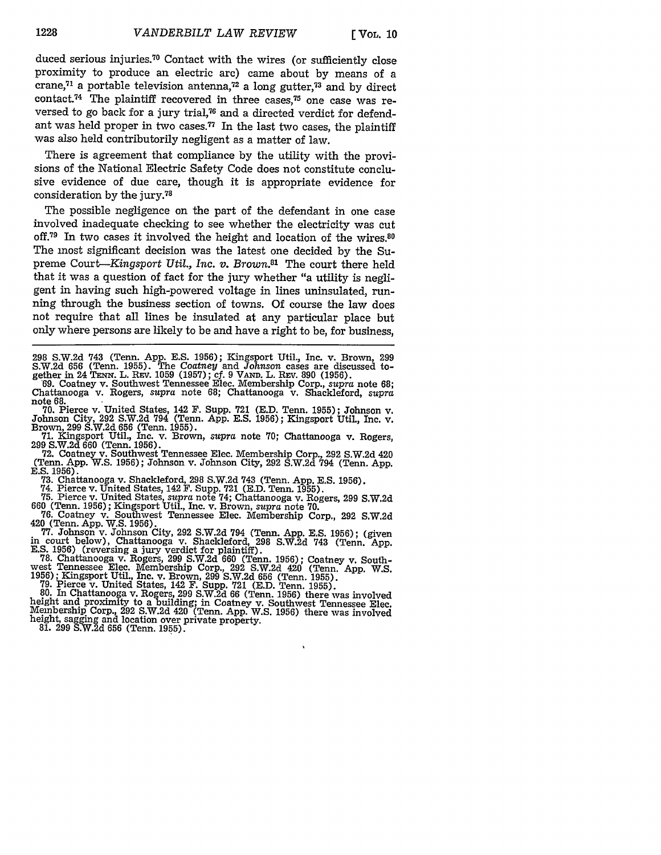duced serious injuries.70 Contact with the wires (or sufficiently close proximity to produce an electric arc) came about by means of a crane, $71$  a portable television antenna, $72$  a long gutter, $73$  and by direct contact.<sup>74</sup> The plaintiff recovered in three cases,<sup>75</sup> one case was reversed to go back for a jury trial,<sup>76</sup> and a directed verdict for defendant was held proper in two cases.<sup>77</sup> In the last two cases, the plaintiff was also held contributorily negligent as a matter of law.

There is agreement that compliance by the utility with the provisions of the National Electric Safety Code does not constitute conclusive evidence of due care, though it is appropriate evidence for consideration by the jury.<sup>78</sup>

The possible negligence on the part of the defendant in one case involved inadequate checking to see whether the electricity was cut off.<sup>79</sup> In two cases it involved the height and location of the wires.<sup>80</sup> The most significant decision was the latest one decided by the Supreme *Court-Kingsport Util., Inc. v. Brown.81* The court there held that it was a question of fact for the jury whether "a utility is negligent in having such high-powered voltage in lines uninsulated, running through the business section of towns. Of course the law does not require that all lines be insulated at any particular place but only where persons are likely to be and have a right to be, for business,

298 S.W.2d 743 (Tenn. App. E.S. 1956); Kingsport Util., Inc. v. Brown, 299 S.W.2d 656 (Tenn. 1955). The Coatney and Johnson cases are discussed to-<br>gether in 24 TENN. L. REV. 1059 (1957); cf. 9 VAND. L. REV. 890 (1956).<br>69. Coatney v. Southwest Tennessee Elec. Membership Corp., *supra* note 68;<br>C

Chattanooga v. Rogers, *supra* note 68; Chattanooga v. Shackleford, *supra* note 68.

70. Pierce v. United States, 142 F. Supp. **721** (E.D. Tenn. 1955); Johnson v. Johnson City, 292 S.W.2d 794 (Tenn. App. E.S. 1956); Kingsport Util., Inc. v.

Brown, 299 S.W.2d 656 (Tenn. 1955).<br>
71. Kingsport Util., Inc. v. Brown, *supra* note 70; Chattanooga v. Rogers,<br>
299 S.W.2d 660 (Tenn. 1956).<br>
72. Coatney v. Southwest Tennessee Elec. Membership Corp., 292 S.W.2d 420

(Tenn. App. W.S. 1956); Johnson v. Johnson City, 292 S.W.2d 794 (Tenn. App. E.S. 1956).<br>E.S. 1956).<br>73. Chattanooga v. Shackleford, 298 S.W.2d 743 (Tenn. App. E.S. 1956).<br>74. Pierce v. United States, 142 F. Supp. 721 (E.D.

660 (Tenn. 1956); Kingsport Util., Inc. v. Brown, *supra* note 70.

**76.** Coatney v. Southwest Tennessee Elec. Membership Corp., 292 S.W.2d

420 (Tenn. App. W.S. 1956).<br>
77. Johnson v. Johnson City, 292 S.W.2d 794 (Tenn. App. E.S. 1956); (given<br>
in court below), Chattanooga v. Shackleford, 298 S.W.2d 743 (Tenn. App.<br>
E.S. 1956); (reversing a jury verdict for pl

1956); Kingsport Util., Inc. v. Brown, 299 S.W.2d 656 (Tenn. 1955).<br>1956); Kingsport Util., Inc. v. Brown, 299 S.W.2d 656 (Tenn. 1955).<br>79. Pierce v. United States, 142 F. Supp. 721 (E.D. Tenn. 1955).<br>80. In Chattanooga v. Membership Corp., 292 S.W.2d 420 (Tenn. App. W.S. 1956) there was involved height, sagging and location over private property. 81. 299 S.W.2d 656 (Tenn. 1955).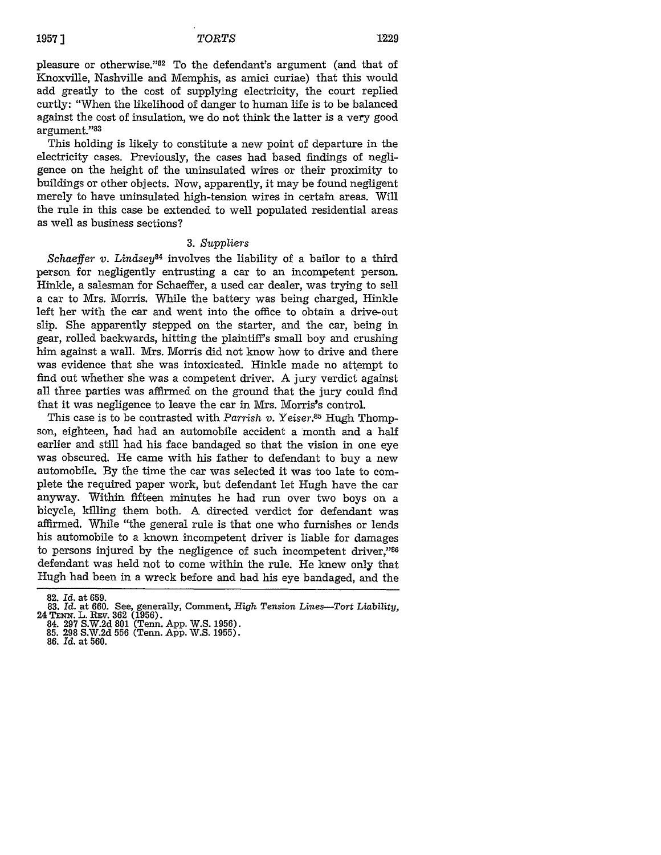pleasure or otherwise."82 To the defendant's argument (and that of Knoxville, Nashville and Memphis, as amici curiae) that this would add greatly to the cost of supplying electricity, the court replied curtly: "When the likelihood of danger to human life is to be balanced against the cost of insulation, we do not think the latter is a very good argument."<sup>83</sup>

This holding is likely to constitute a new point of departure in the electricity cases. Previously, the cases had based findings of negligence on the height of the uninsulated wires or their proximity to buildings or other objects. Now, apparently, it may be found negligent merely to have uninsulated high-tension wires in certain areas. Will the rule in this case be extended to well populated residential areas as well as business sections?

#### 3. *Suppliers*

*Schaeffer v. Lindsey84* involves the liability of a bailor to a third person for negligently entrusting a car to an incompetent person. Hinkle, a salesman for Schaeffer, a used car dealer, was trying to sell a car to Mrs. Morris. While the battery was being charged, Hinkle left her with the car and went into the office to obtain a drive-out slip. She apparently stepped on the starter, and the car, being in gear, rolled backwards, hitting the plaintiff's small boy and crushing him against a wall. Mrs. Morris did not know how to drive and there was evidence that she was intoxicated. Hinkle made no attempt to find out whether she was a competent driver. A jury verdict against all three parties was affirmed on the ground that the jury could find that it was negligence to leave the car in Mrs. Morris's control.

This case is to be contrasted with *Parrish v. Yeiser*.<sup>35</sup> Hugh Thompson, eighteen, had had an automobile accident a month and a half earlier and still had his face bandaged so that the vision in one eye was obscured. He came with his father to defendant to buy a new automobile. By the time the car was selected it was too late to complete the required paper work, but defendant let Hugh have the car anyway. Within fifteen minutes he had run over two boys on a bicycle, killing them both. A directed verdict for defendant was affirmed. While "the general rule is that one who furnishes or lends his automobile to a known incompetent driver is liable for damages to persons injured by the negligence of such incompetent driver,"86 defendant was held not to come within the rule. He knew only that Hugh had been in a wreck before and had his eye bandaged, and the

**<sup>82.</sup>** *Id.* at **659.**

<sup>83.</sup> Id. at 660. See, generally, Comment, *High Tension Lines*—Tort Liability, 24 TENN. L. REV. 362 (1956).<br>24 TENN. L. REV. 362 (1956).<br>84. 297 S.W.2d 801 (Tenn. App. W.S. 1956).<br>85. 298 S.W.2d 556 (Tenn. App. W.S. 1955).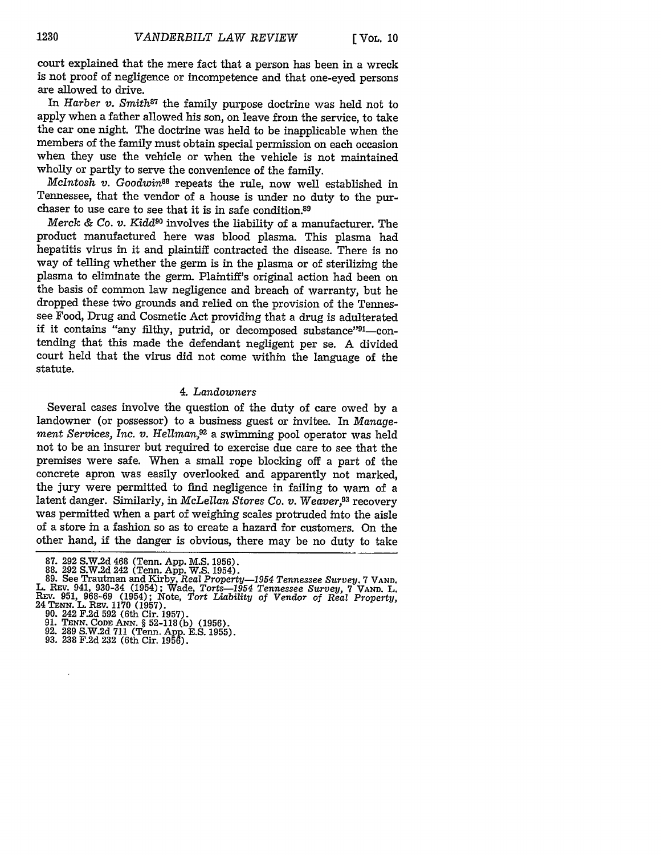court explained that the mere fact that a person has been in a wreck is not proof of negligence or incompetence and that one-eyed persons are allowed to drive.

In *Harber v. Smith87* the family purpose doctrine was held not to apply when a father allowed his son, on leave from the service, to take the car one night. The doctrine was held to be inapplicable when the members of the family must obtain special permission on each occasion when they use the vehicle or when the vehicle is not maintained wholly or partly to serve the convenience of the family.

*McIntosh v. Goodwin88* repeats the rule, now well established in Tennessee, that the vendor of a house is under no duty to the purchaser to use care to see that it is in safe condition.89

*Merck & Co. v. Kidd9O* involves the liability of a manufacturer. The product manufactured here was blood plasma. This plasma had hepatitis virus in it and plaintiff contracted the disease. There is no way of telling whether the germ is in the plasma or of sterilizing the plasma to eliminate the germ. Plaintiff's original action had been on the basis of common law negligence and breach of warranty, but he dropped these tvio grounds and relied on the provision of the Tennessee Food, Drug and Cosmetic Act providing that a drug is adulterated if it contains "any filthy, putrid, or decomposed substance"<sup>91</sup>-contending that this made the defendant negligent per se. A divided court held that the virus did not come within the language of the statute.

## *4. Landowners*

Several cases involve the question of the duty of care owed by a landowner (or possessor) to a business guest or invitee. In *Management Services, Inc. v. Hellman,92* a swimming pool operator was held not to be an insurer but required to exercise due care to see that the premises were safe. When a small rope blocking off a part of the concrete apron was easily overlooked and apparently not marked, the jury were permitted to find negligence in failing to warn of a latent danger. Similarly, in *McLellan Stores Co. v. Weaver,93* recovery was permitted when a part of weighing scales protruded into the aisle of a store in a fashion so as to create a hazard for customers. On the other hand, if the danger is obvious, there may be no duty to take

- 
- 
- 

<sup>87. 292</sup> S.W.2d 468 (Tenn. App. M.S. 1956).<br>88. 292 S.W.2d 242 (Tenn. App. W.S. 1954).<br>89. See Trautman and Kirby, *Real Property—1954 Tennessee Survey*. 7 VAND L. REV. 941, 930-34 (1954); Wade, *Torts-1954 Tennessee Survey,* <sup>7</sup>*VAND.* L. REV. 951, 968-69 (1954); Note, Tort Liability of Vendor of Real Property,<br>24 TENN. L. REV. 1170 (1957).<br>24 TENN. L. REV. 1170 (1957).<br>90. 242 F.2d 592 (6th Cir. 1957).<br>91. TENN. CODE ANN. § 52-118(b) (1956).<br>92. 289 S.W.2d 1 ENN. L. REV. 1170 (1957).<br>90. 242 F.2d 592 (6th Cir. 1957).<br>91. TENN. CODE ANN. § 52-118 (b) (1956).<br>92. 289 S.W.2d 711 (Tenn. App. E.S. 1955).<br>93. 238 F.2d 232 (6th Cir. 1956).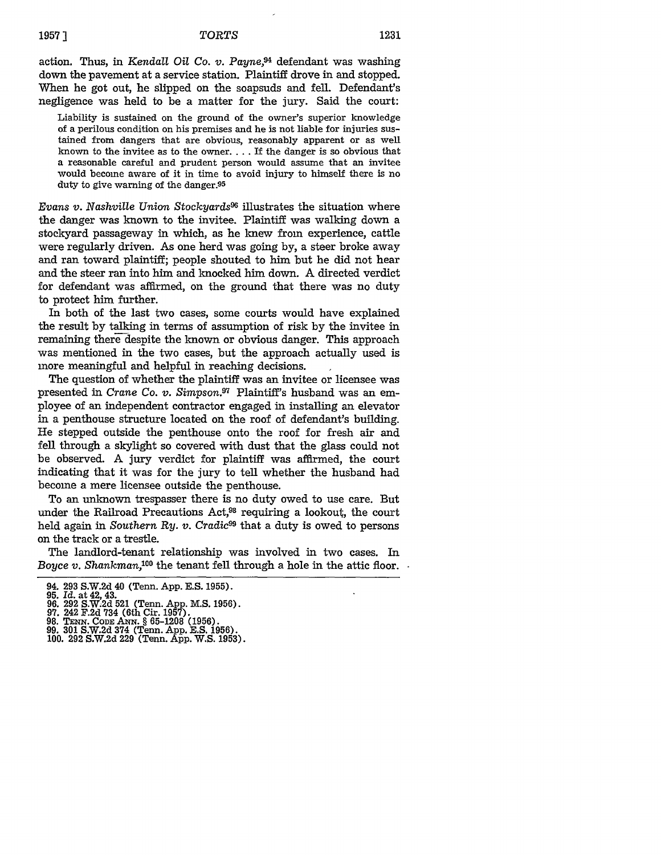# *TORTS* **1231 19571**

action. Thus, in *Kendall Oil Co. v. Payne,94* defendant was washing down the pavement at a service station. Plaintiff drove in and stopped. When he got out, he slipped on the soapsuds and fell. Defendant's negligence was held to be a matter for the jury. Said the court:

Liability is sustained on the ground of the owner's superior knowledge of a perilous condition on his premises and he is not liable for injuries sustained from dangers that are obvious, reasonably apparent or as well known to the invitee as to the owner.... If the danger is so obvious that a reasonable careful and prudent person would assume that an invitee would become aware of it in time to avoid injury to himself there is no duty to give warning of the danger.95

*Evans v. Nashville Union Stockyards9* illustrates the situation where the danger was known to the invitee. Plaintiff was walking down a stockyard passageway in which, as he knew from experience, cattle were regularly driven. As one herd was going by, a steer broke away and ran toward plaintiff; people shouted to him but he did not hear and the steer ran into him and knocked him down. **A** directed verdict for defendant was affirmed, on the ground that there was no duty to protect him further.

In both of the last two cases, some courts would have explained the result by talking in terms of assumption of risk by the invitee in remaining there despite the known or obvious danger. This approach was mentioned in the two cases, but the approach actually used is more meaningful and helpful in reaching decisions.

The question of whether the plaintiff was an invitee or licensee was presented in *Crane Co. v. Simpson.97* Plaintiff's husband was an employee of an independent contractor engaged in installing an elevator in a penthouse structure located on the roof of defendant's building. He stepped outside the penthouse onto the roof for fresh air and fell through a skylight so covered with dust that the glass could not be observed. A jury verdict for plaintiff was affirmed, the court indicating that it was for the jury to tell whether the husband had become a mere licensee outside the penthouse.

To an unknown trespasser there is no duty owed to use care. But under the Railroad Precautions  $Act<sub>1</sub><sup>98</sup>$  requiring a lookout, the court held again in *Southern Ry. v. Cradic99* that a duty is owed to persons on the track or a trestle.

The landlord-tenant relationship was involved in two cases. In *Boyce v. Shankman*,<sup>100</sup> the tenant fell through a hole in the attic floor.

<sup>94. 293</sup> S.W.2d 40 (Tenn. App. E.S. 1955).

**<sup>95.</sup>** *Id.* at 42, 43. 96. 292 S.W,2d **521** (Term. App. **M.S.** 1956). **97.** 242 F.2d 734 (6th Cir. 1957).

<sup>98.</sup> TENN. CODE ANN. § 65-1208 (1956).<br>99. 301 S.W.2d 374 (Tenn. App. E.S. 1956).<br>100. 292 S.W.2d 229 (Tenn. App. W.S. 1953)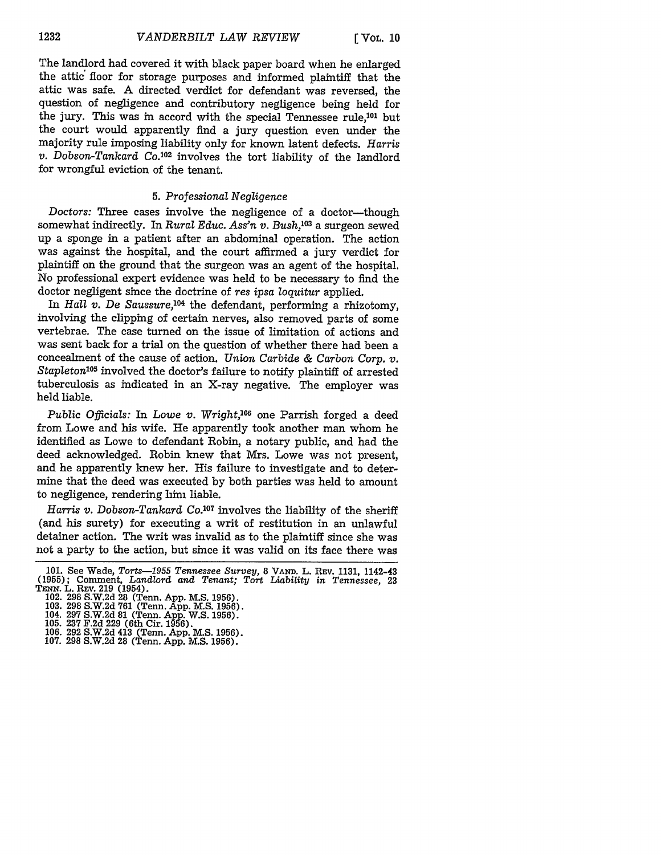The landlord had covered it with black paper board when he enlarged the attic floor for storage purposes and informed plaintiff that the attic was safe. A directed verdict for defendant was reversed, the question of negligence and contributory negligence being held for the jury. This was in accord with the special Tennessee rule,<sup>101</sup> but the court would apparently find a jury question even under the majority rule imposing liability only for known latent defects. *Harris v. Dobson-Tankard Co.<sup>102</sup>* involves the tort liability of the landlord for wrongful eviction of the tenant.

## 5. *Professional Negligence*

Doctors: Three cases involve the negligence of a doctor-though somewhat indirectly. In *Rural Educ. Ass'n v. Bush,10 <sup>3</sup>*a surgeon sewed up a sponge in a patient after an abdominal operation. The action was against the hospital, and the court affirmed a jury verdict for plaintiff on the ground that the surgeon was an agent of the hospital. No professional expert evidence was held to be necessary to find the doctor negligent since the doctrine of *res ipsa loquitur* applied.

In *Hall v. De Saussure,104* the defendant, performing a rhizotomy, involving the clipping of certain nerves, also removed parts of some vertebrae. The case turned on the issue of limitation of actions and was sent back for a trial on the question of whether there had been a concealment of the cause of action. *Union Carbide & Carbon Corp. v.* Stapleton<sup>105</sup> involved the doctor's failure to notify plaintiff of arrested tuberculosis as indicated in an X-ray negative. The employer was held liable.

*Public Officials: In Lowe v. Wright,*<sup>106</sup> one Parrish forged a deed from Lowe and his wife. He apparently took another man whom he identified as Lowe to defendant Robin, a notary public, and had the deed acknowledged. Robin knew that Mrs. Lowe was not present, and he apparently knew her. His failure to investigate and to determine that the deed was executed by both parties was held to amount to negligence, rendering limi liable.

Harris v. Dobson-Tankard Co.<sup>107</sup> involves the liability of the sheriff (and his surety) for executing a writ of restitution in an unlawful detainer action. The writ was invalid as to the plaintiff since she was not a party to the action, but since it was valid on its face there was

<sup>101.</sup> See Wade, Torts—1955 Tennessee Survey, 8 VAND. L. REV. 1131, 1142-43 (1955); Comment, Landlord and Tenant; Tort Liability in Tennessee, 23 TENN. L. REV. 219 (1954).<br>TENN. L. REV. 219 (1954).<br>102. 298 S.W.2d 28 (Tenn.

<sup>103. 298</sup> S.W.2d 761 (Tenn. App. M.S. 1956). 104. 297 S.W.2d 81 (Tenn. App. W.S. 1956).

<sup>105. 237</sup> F.2d 229 (6th Cir. 1956).<br>106. 292 S.W.2d 413 (Tenn. App. M.S. 1956).<br>107. 298 S.W.2d 28 (Tenn. App. M.S. 1956).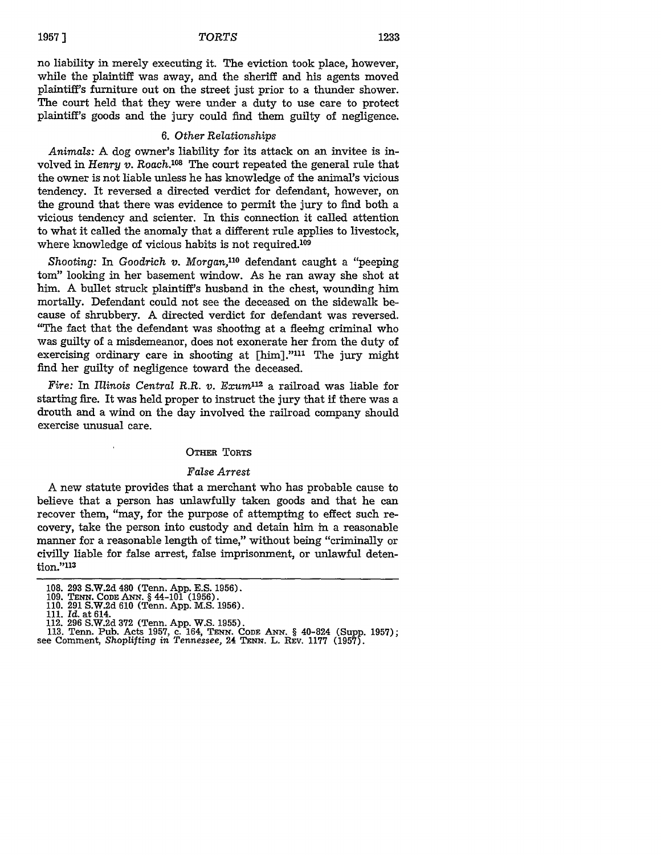# **1957 ]** *TORTS* **1233**

no liability in merely executing it. The eviction took place, however, while the plaintiff was away, and the sheriff and his agents moved plaintiff's furniture out on the street just prior to a thunder shower. The court held that they were under a duty to use care to protect plaintiff's goods and the jury could find them guilty of negligence.

#### 6. *Other Relationships*

*Animals:* A dog owner's liability for its attack on an invitee is involved in *Henry v. Roach.*<sup>108</sup> The court repeated the general rule that the owner is not liable unless he has knowledge of the animal's vicious tendency. It reversed a directed verdict for defendant, however, on the ground that there was evidence to permit the jury to find both a vicious tendency and scienter. In this connection it called attention to what it called the anomaly that a different rule applies to livestock, where knowledge of vicious habits is not required.<sup>109</sup>

Shooting: In Goodrich *v. Morgan*,<sup>110</sup> defendant caught a "peeping tom" looking in her basement window. As he ran away she shot at him. A bullet struck plaintiff's husband in the chest, wounding him mortally. Defendant could not see the deceased on the sidewalk because of shrubbery. A directed verdict for defendant was reversed. "The fact that the defendant was shooting at a fleeing criminal who was guilty of a misdemeanor, does not exonerate her from the duty of exercising ordinary care in shooting at [him]."<sup>111</sup> The jury might find her guilty of negligence toward the deceased.

Fire: In *Illinois Central R.R. v. Exum*<sup>112</sup> a railroad was liable for starting fire. It was held proper to instruct the jury that if there was a drouth and a wind on the day involved the railroad company should exercise unusual care.

#### OTHER TORTS

#### *False Arrest*

A new statute provides that a merchant who has probable cause to believe that a person has unlawfully taken goods and that he can recover them, "may, for the purpose of attempting to effect such recovery, take the person into custody and detain him in a reasonable manner for a reasonable length of time," without being "criminally or civilly liable for false arrest, false imprisonment, or unlawful detention."113

112. 296 S.W.2d 372 (Tenn. App. W.S. 1955).<br>113. Tenn. Pub. Acts 1957, c. 164, TENN. CODE ANN. § 40-824 (Supp. 1957)<br>see Comment, Shoplifting in Tennessee, 24 TENN. L. REV. 1177 (1957).

<sup>108. 293</sup> S.W.2d 480 (Tenn. App. E.S. 1956). 109. **TENN.** *CODE* ANN. **§** 44-101 (1956). 110. 291 S.W.2d 610 (Tenn. App. M.S. 1956). 111. *Id.* at 614.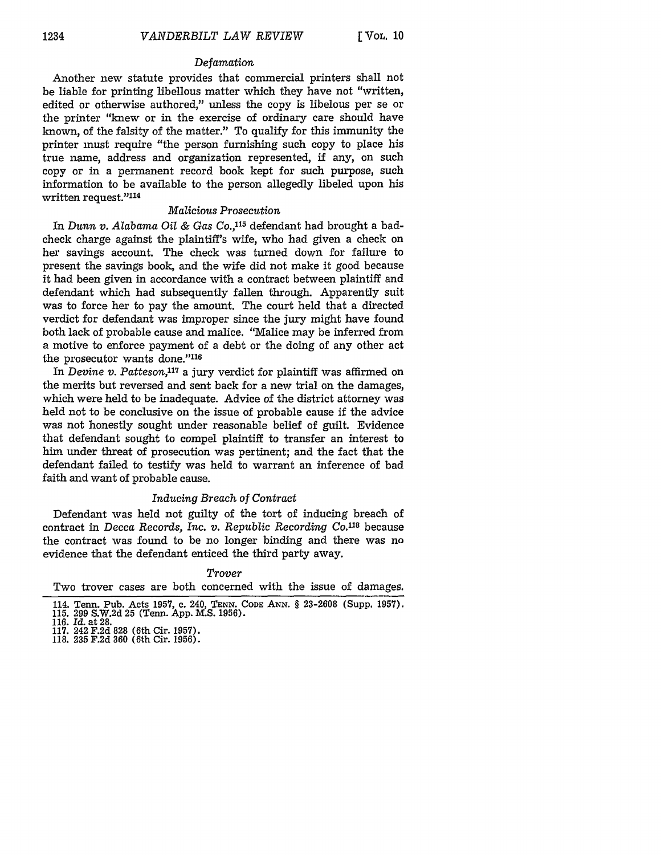## *Defamation*

Another new statute provides that commercial printers shall not be liable for printing libellous matter which they have not "written, edited or otherwise authored," unless the copy is libelous per se or the printer "knew or in the exercise of ordinary care should have known, of the falsity of the matter." To qualify for this immunity the printer must require "the person furnishing such copy to place his true name, address and organization represented, if any, on such copy or in a permanent record book kept for such purpose, such information to be available to the person allegedly libeled upon his written request."<sup>114</sup>

# *Malicious Prosecution*

In *Dunn v. Alabama Oil & Gas Co.,115* defendant had brought a badcheck charge against the plaintiff's wife, who had given a check on her savings account. The check was turned down for failure to present the savings book, and the wife did not make it good because it had been given in accordance with a contract between plaintiff and defendant which had subsequently fallen through. Apparently suit was to force her to pay the amount. The court held that a directed verdict for defendant was improper since the jury might have found both lack of probable cause and malice. "Malice may be inferred from a motive to enforce payment of a debt or the doing of any other act the prosecutor wants done."116

In *Devine v. Patteson,17* a jury verdict for plaintiff was affirmed on the merits but reversed and sent back for a new trial on the damages, which were held to be inadequate. Advice of the district attorney was held not to be conclusive on the issue of probable cause if the advice was not honestly sought under reasonable belief of guilt. Evidence that defendant sought to compel plaintiff to transfer an interest to him under threat of prosecution was pertinent; and the fact that the defendant failed to testify was held to warrant an inference of bad faith and want of probable cause.

#### *Inducing Breach of Contract*

Defendant was held not guilty of the tort of inducing breach of contract in *Decca Records, Inc. v. Republic Recording Co.*<sup>118</sup> because the contract was found to be no longer binding and there was no evidence that the defendant enticed the third party away.

#### *Trover*

Two trover cases are both concerned with the issue of damages.

<sup>114.</sup> Tenn. Pub. Acts 1957, c. 240, **TENN.** *CODE* ANN. § 23-2608 (Supp. 1957). 115. 299 S.W.2d 25 (Tenn. App. **M.S.** 1956). **116.** *Id.* at **28.**

<sup>117. 242</sup> F.2d 828 (6th Cir. 1957). 118. **235** F.2d 360 (6th Cir. 1956).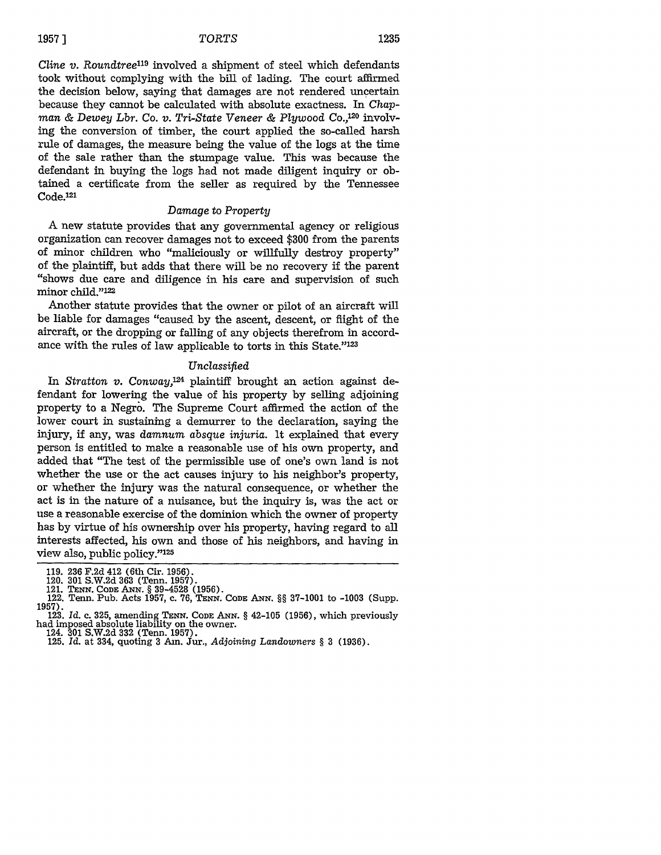*Cline v. Roundtree<sup>119</sup>* involved a shipment of steel which defendants took without complying with the bill of lading. The court affirmed the decision below, saying that damages are not rendered uncertain because they cannot be calculated with absolute exactness. In *Chap*man & Dewey Lbr. Co. *v*. Tri-State Veneer & Plywood Co.,<sup>120</sup> involving the conversion of timber, the court applied the so-called harsh rule of damages, the measure being the value of the logs at the time of the sale rather than the stumpage value. This was because the defendant in buying the logs had not made diligent inquiry or obtained a certificate from the seller as required by the Tennessee Code.<sup>121</sup>

#### *Damage* to *Property*

**A** new statute provides that any governmental agency or religious organization can recover damages not to exceed \$300 from the parents of minor children who "maliciously or willfully destroy property" of the plaintiff, but adds that there will be no recovery if the parent "shows due care and diligence in his care and supervision of such minor child."<sup>122</sup>

Another statute provides that the owner or pilot of an aircraft will be liable for damages "caused by the ascent, descent, or flight of the aircraft, or the dropping or falling of any objects therefrom in accordance with the rules of law applicable to torts in this State."<sup>123</sup>

## *Unclassified*

In *Stratton v. Conway,124* plaintiff brought an action against defendant for lowering the value of his property by selling adjoining property to a Negro. The Supreme Court affirmed the action of the lower court in sustaining a demurrer to the declaration, saying the injury, if any, was *damnum absque injuria.* It explained that every person is entitled to make a reasonable use of his own property, and added that "The test of the permissible use of one's own land is not whether the use or the act causes injury to his neighbor's property, or whether the injury was the natural consequence, or whether the act is in the nature of a nuisance, but the inquiry is, was the act or use a reasonable exercise of the dominion which the owner of property has by virtue of his ownership over his property, having regard to all interests affected, his own and those of his neighbors, and having in view also, public policy."<sup>125</sup>

<sup>119. 236</sup> F.2d 412 (6th Cir. 1956).<br>120. 301 S.W.2d 363 (Tenn. 1957).<br>121. TENN. CODE ANN. § 39-4528 (1956).<br>122. Tenn. Pub. Acts 1957, c. 76, TENN. CODE ANN. §§ 37-1001 to -1003 (Supp.<br>1957).

<sup>123.</sup> *Id.* c. 325, amending TENN. **CODE** ANx. § 42-105 (1956), which previously had imposed absolute liability on the owner.

<sup>124.</sup> **301** S.W.2d **332** (Tenn. 1957). 125. *Id.* at 334, quoting 3 Am. Jur., *Adjoining Landowners* § 3 (1936).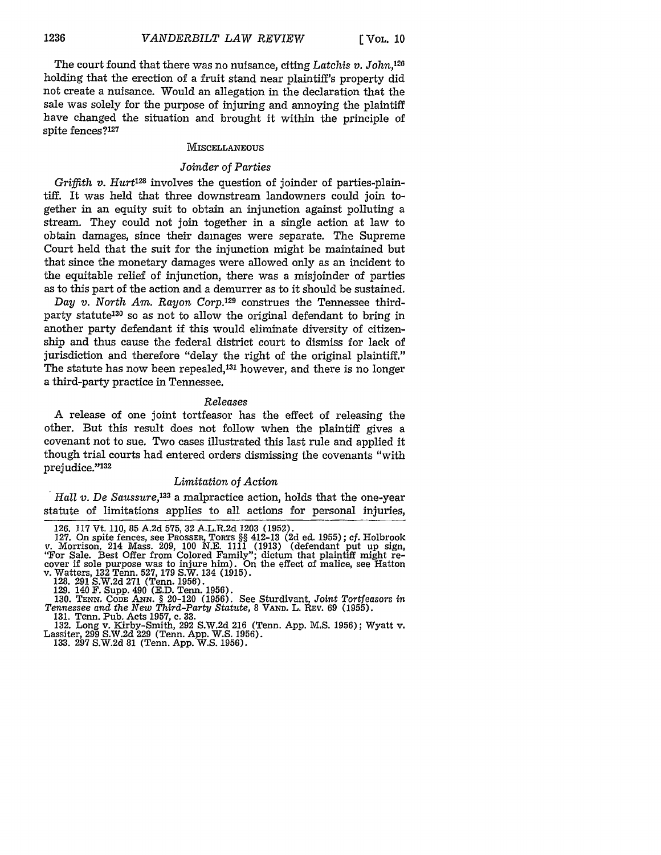The court found that there was no nuisance, citing *Latchis* v. John,126 holding that the erection of a fruit stand near plaintiff's property did not create a nuisance. Would an allegation in the declaration that the sale was solely for the purpose of injuring and annoying the plaintiff have changed the situation and brought it within the principle of spite fences?127

#### **MISCELLANEOUS**

## *Joinder of Parties*

*Griffith v. Hurt*<sup>128</sup> involves the question of joinder of parties-plaintiff. It was held that three downstream landowners could join together in an equity suit to obtain an injunction against polluting a stream. They could not join together in a single action at law to obtain damages, since their damages were separate. The Supreme Court held that the suit for the injunction might be maintained but that since the monetary damages were allowed only as an incident to the equitable relief of injunction, there was a misjoinder of parties as to this part of the action and a demurrer as to it should be sustained.

*Day v. North Am. Rayon Corp.129* construes the Tennessee thirdparty statute130 so as not to allow the original defendant to bring in another party defendant if this would eliminate diversity of citizenship and thus cause the federal district court to dismiss for lack of jurisdiction and therefore "delay the right of the original plaintiff." The statute has now been repealed,<sup>131</sup> however, and there is no longer a third-party practice in Tennessee.

#### *Releases*

A release of one joint tortfeasor has the effect of releasing the other. But this result does not follow when the plaintiff gives a covenant not to sue. Two cases illustrated this last rule and applied it though trial courts had entered orders dismissing the covenants "with prejudice."<sup>132</sup>

## *Limitation of Action*

*Hall v. De Saussure,133* a malpractice action, holds that the one-year statute of limitations applies to all actions for personal injuries,

130. **TENN.** CODE **ANN.** § 20-120 (1956). See Sturdivant, *Joint Tortfeasors in Tennessee and the New Third-Party Statute,* 8 VAND. L. REV. 69 (1955).

131. Tenn. Pub. Acts 1957, c. 33.

132. Long v. Kirby-Smith, 292 S.W.2d 216 (Tenn. App. M.S. 1956); Wyatt v. Lassiter, 299 S.W.2d 229 (Tenn. App. W.S. 1956). 133. 297 S.W.2d 81 (Tenn. App. W.S. 1956).

<sup>126. 117</sup> Vt. 110, 85 **A.2d** 575, 32 A.L.R.2d 1203 (1952).

<sup>127.</sup> On spite fences, see PROSSER, TORTS §§ 412-13 (2d ed. 1955); cf. Holbrook<br>v. Morrison, 214 Mass. 209, 100 N.E. 1111 (1913) (defendant put up sign, "For Sale. Best Offer from Colored Family"; dictum that plaintiff migh

<sup>128. 291</sup> S.W.2d **271** (Tenn. 1956). 129. 140 **F.** Supp. 490 (E.D. Tenn. 1956).